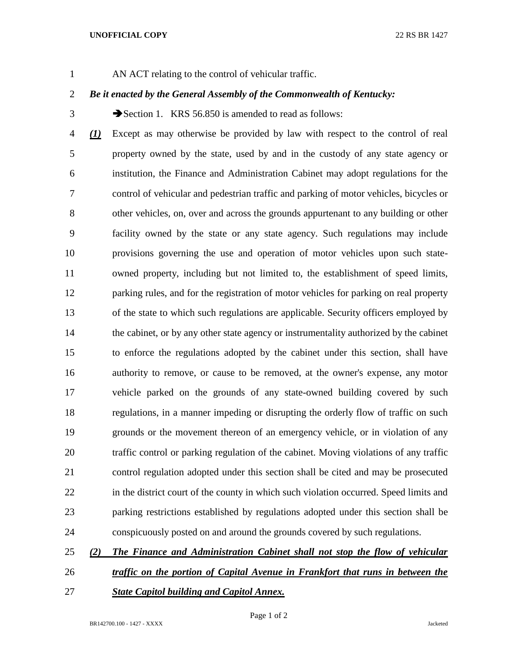## **UNOFFICIAL COPY** 22 RS BR 1427

AN ACT relating to the control of vehicular traffic.

## *Be it enacted by the General Assembly of the Commonwealth of Kentucky:*

3 Section 1. KRS 56.850 is amended to read as follows:

 *(1)* Except as may otherwise be provided by law with respect to the control of real property owned by the state, used by and in the custody of any state agency or institution, the Finance and Administration Cabinet may adopt regulations for the control of vehicular and pedestrian traffic and parking of motor vehicles, bicycles or other vehicles, on, over and across the grounds appurtenant to any building or other facility owned by the state or any state agency. Such regulations may include provisions governing the use and operation of motor vehicles upon such state- owned property, including but not limited to, the establishment of speed limits, parking rules, and for the registration of motor vehicles for parking on real property of the state to which such regulations are applicable. Security officers employed by 14 the cabinet, or by any other state agency or instrumentality authorized by the cabinet to enforce the regulations adopted by the cabinet under this section, shall have authority to remove, or cause to be removed, at the owner's expense, any motor vehicle parked on the grounds of any state-owned building covered by such regulations, in a manner impeding or disrupting the orderly flow of traffic on such grounds or the movement thereon of an emergency vehicle, or in violation of any traffic control or parking regulation of the cabinet. Moving violations of any traffic control regulation adopted under this section shall be cited and may be prosecuted 22 in the district court of the county in which such violation occurred. Speed limits and parking restrictions established by regulations adopted under this section shall be conspicuously posted on and around the grounds covered by such regulations.

## *(2) The Finance and Administration Cabinet shall not stop the flow of vehicular*

- *traffic on the portion of Capital Avenue in Frankfort that runs in between the*
- *State Capitol building and Capitol Annex.*